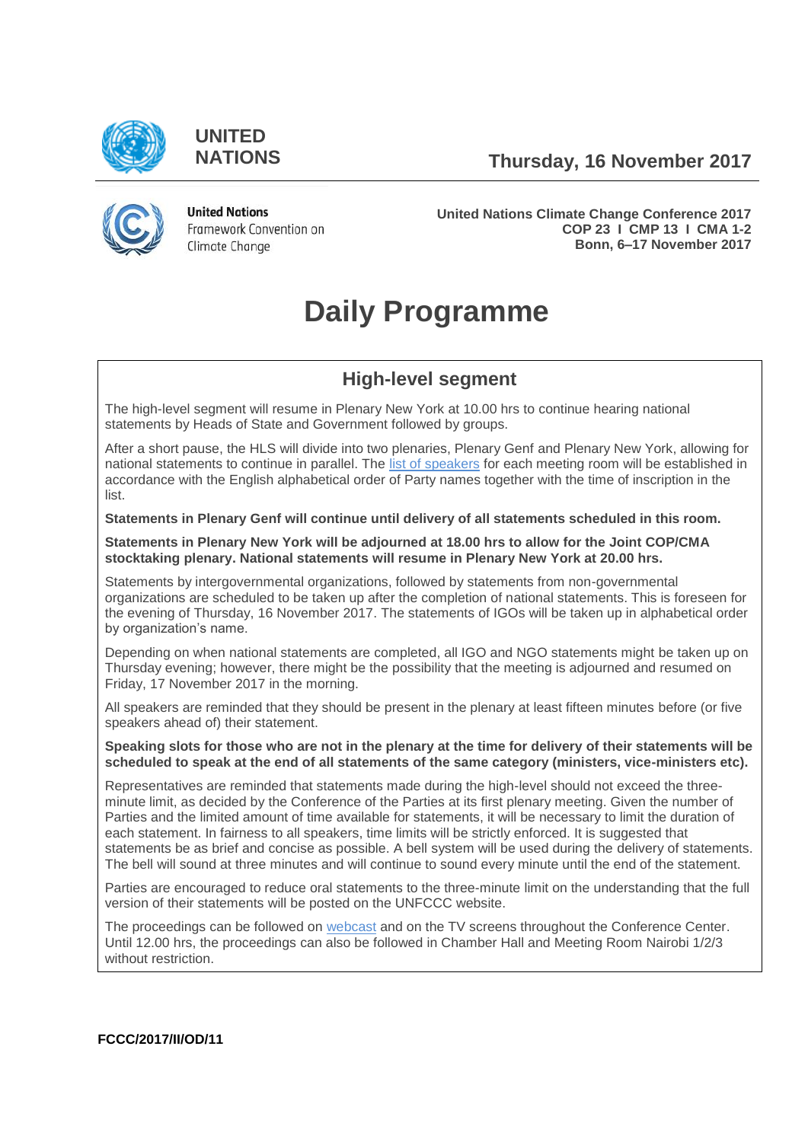

**UNITED**

**NATIONS Thursday, 16 November 2017**



**United Nations** Framework Convention on Climate Change

**United Nations Climate Change Conference 2017 COP 23 I CMP 13 I CMA 1-2 Bonn, 6–17 November 2017**

# **Daily Programme**

# **High-level segment**

The high-level segment will resume in Plenary New York at 10.00 hrs to continue hearing national statements by Heads of State and Government followed by groups.

After a short pause, the HLS will divide into two plenaries, Plenary Genf and Plenary New York, allowing for national statements to continue in parallel. The [list of speakers](https://cop23.unfccc.int/cop23/high-level-segment) for each meeting room will be established in accordance with the English alphabetical order of Party names together with the time of inscription in the list.

**Statements in Plenary Genf will continue until delivery of all statements scheduled in this room.** 

**Statements in Plenary New York will be adjourned at 18.00 hrs to allow for the Joint COP/CMA stocktaking plenary. National statements will resume in Plenary New York at 20.00 hrs.**

Statements by intergovernmental organizations, followed by statements from non-governmental organizations are scheduled to be taken up after the completion of national statements. This is foreseen for the evening of Thursday, 16 November 2017. The statements of IGOs will be taken up in alphabetical order by organization's name.

Depending on when national statements are completed, all IGO and NGO statements might be taken up on Thursday evening; however, there might be the possibility that the meeting is adjourned and resumed on Friday, 17 November 2017 in the morning.

All speakers are reminded that they should be present in the plenary at least fifteen minutes before (or five speakers ahead of) their statement.

**Speaking slots for those who are not in the plenary at the time for delivery of their statements will be scheduled to speak at the end of all statements of the same category (ministers, vice-ministers etc).**

Representatives are reminded that statements made during the high-level should not exceed the threeminute limit, as decided by the Conference of the Parties at its first plenary meeting. Given the number of Parties and the limited amount of time available for statements, it will be necessary to limit the duration of each statement. In fairness to all speakers, time limits will be strictly enforced. It is suggested that statements be as brief and concise as possible. A bell system will be used during the delivery of statements. The bell will sound at three minutes and will continue to sound every minute until the end of the statement.

Parties are encouraged to reduce oral statements to the three-minute limit on the understanding that the full version of their statements will be posted on the UNFCCC website.

The proceedings can be followed on [webcast](https://unfccc.cloud.streamworld.de/live) and on the TV screens throughout the Conference Center. Until 12.00 hrs, the proceedings can also be followed in Chamber Hall and Meeting Room Nairobi 1/2/3 without restriction.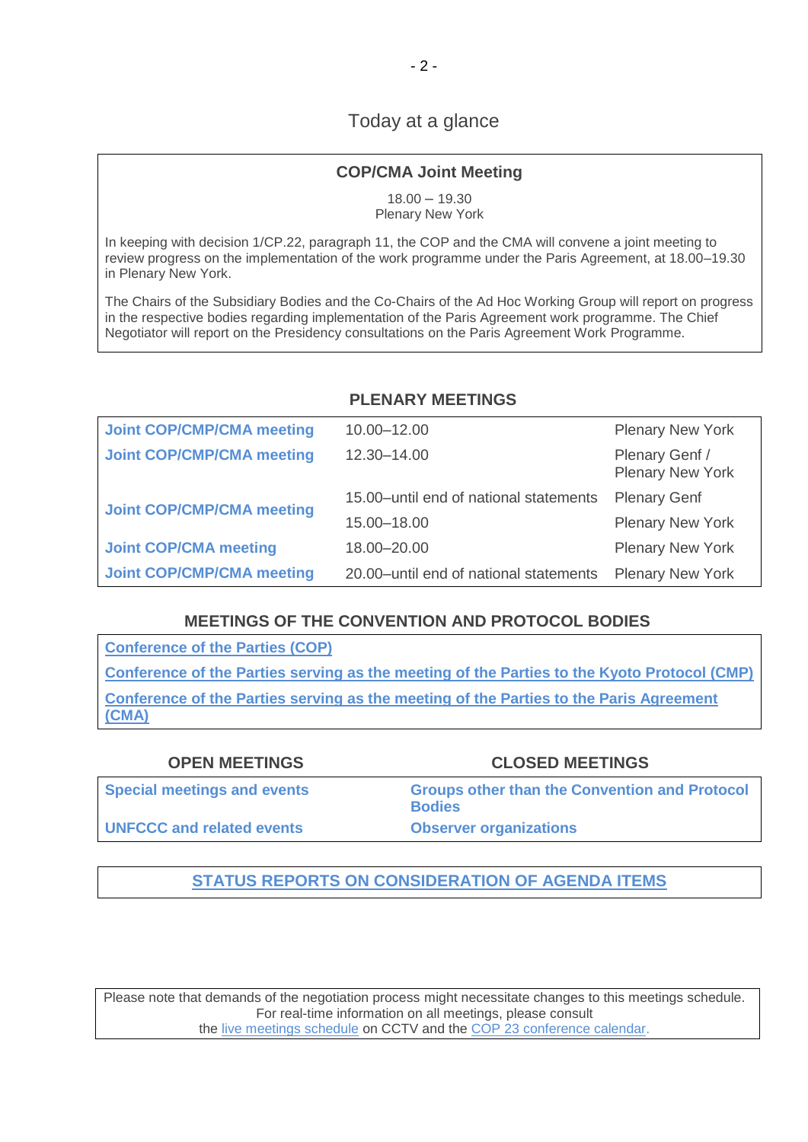# Today at a glance

# **COP/CMA Joint Meeting**

18.00 – 19.30 Plenary New York

In keeping with decision 1/CP.22, paragraph 11, the COP and the CMA will convene a joint meeting to review progress on the implementation of the work programme under the Paris Agreement, at 18.00–19.30 in Plenary New York.

The Chairs of the Subsidiary Bodies and the Co-Chairs of the Ad Hoc Working Group will report on progress in the respective bodies regarding implementation of the Paris Agreement work programme. The Chief Negotiator will report on the Presidency consultations on the Paris Agreement Work Programme.

### **PLENARY MEETINGS**

| <b>Joint COP/CMP/CMA meeting</b> | 10.00-12.00                            | <b>Plenary New York</b>                   |
|----------------------------------|----------------------------------------|-------------------------------------------|
| <b>Joint COP/CMP/CMA meeting</b> | 12.30-14.00                            | Plenary Genf /<br><b>Plenary New York</b> |
| <b>Joint COP/CMP/CMA meeting</b> | 15.00-until end of national statements | <b>Plenary Genf</b>                       |
|                                  | 15.00-18.00                            | <b>Plenary New York</b>                   |
| <b>Joint COP/CMA meeting</b>     | 18.00-20.00                            | <b>Plenary New York</b>                   |
| <b>Joint COP/CMP/CMA meeting</b> | 20.00-until end of national statements | <b>Plenary New York</b>                   |

## **MEETINGS OF THE CONVENTION AND PROTOCOL BODIES**

**[Conference of the Parties \(COP\)](https://grandreserva.unfccc.int/grandreserva/public/schedule?time=2017%2F11%2F16&conference_id=70&meeting_type=&body=4&webcast=0) [Conference of the Parties serving as the meeting of the Parties to the Kyoto Protocol \(CMP\)](https://grandreserva.unfccc.int/grandreserva/public/schedule?time=2017%2F11%2F16&conference_id=70&meeting_type=&body=3&webcast=0) [Conference of the Parties serving as the meeting of the Parties to the Paris Agreement](https://grandreserva.unfccc.int/grandreserva/public/schedule?time=2017%2F11%2F16&conference_id=70&meeting_type=&body=10&webcast=0)  [\(CMA\)](https://grandreserva.unfccc.int/grandreserva/public/schedule?time=2017%2F11%2F16&conference_id=70&meeting_type=&body=10&webcast=0)**

| <b>OPEN MEETINGS</b>               | <b>CLOSED MEETINGS</b>                                                |
|------------------------------------|-----------------------------------------------------------------------|
| <b>Special meetings and events</b> | <b>Groups other than the Convention and Protocol</b><br><b>Bodies</b> |
| <b>UNFCCC and related events</b>   | <b>Observer organizations</b>                                         |

# **[STATUS REPORTS ON CONSIDERATION OF AGENDA ITEMS](http://unfccc.int/meetings/bonn_nov_2017/in-session/items/10482.php)**

Please note that demands of the negotiation process might necessitate changes to this meetings schedule. For real-time information on all meetings, please consult the [live meetings schedule](https://grandreserva.unfccc.int/grandreserva/public/schedule?time=2017%2F11%2F16&conference_id=70&meeting_type=&body=&webcast=0) on CCTV and the [COP 23 conference calendar.](https://cop23.unfccc.int/calendar)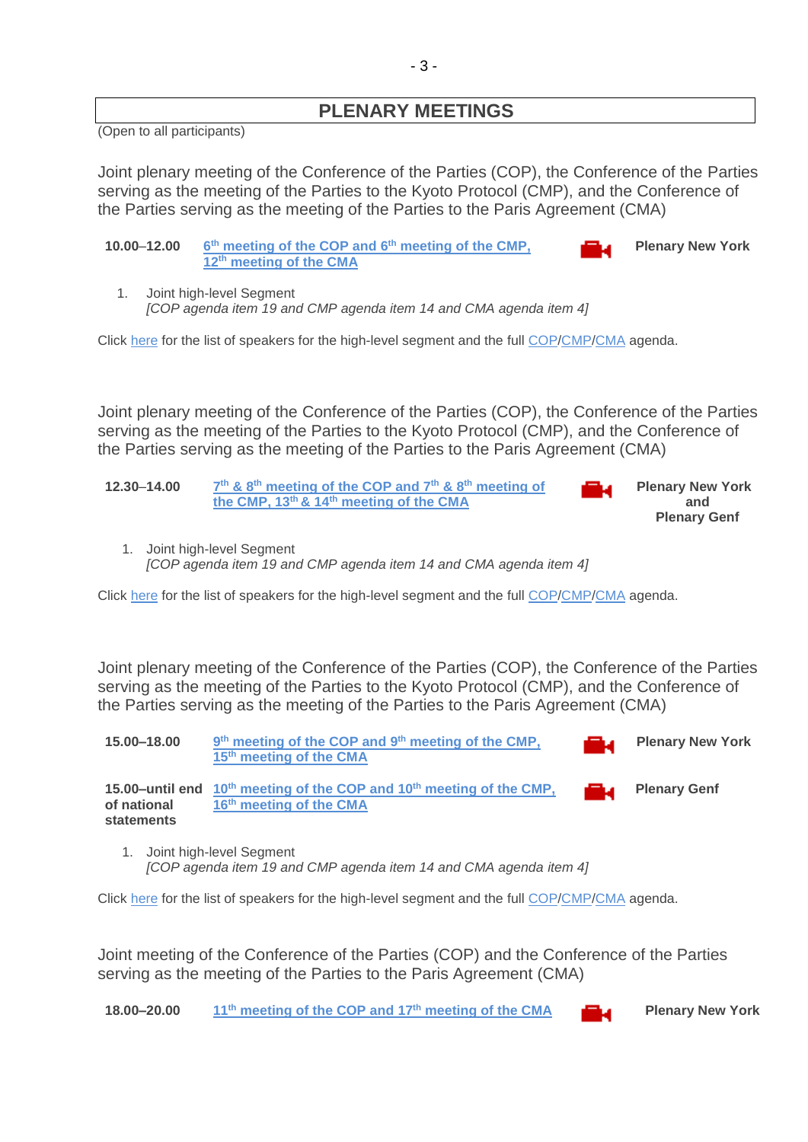# **PLENARY MEETINGS**

(Open to all participants)

<span id="page-2-0"></span>Joint plenary meeting of the Conference of the Parties (COP), the Conference of the Parties serving as the meeting of the Parties to the Kyoto Protocol (CMP), and the Conference of the Parties serving as the meeting of the Parties to the Paris Agreement (CMA)

| 10.00-12.00 | 6 <sup>th</sup> meeting of the COP and 6 <sup>th</sup> meeting of the CMP, | a di Balance | <b>Plenary New York</b> |
|-------------|----------------------------------------------------------------------------|--------------|-------------------------|
|             | 12 <sup>th</sup> meeting of the CMA                                        |              |                         |

1. Joint high-level Segment *[COP agenda item 19 and CMP agenda item 14 and CMA agenda item 4]*

Click [here](https://cop23.unfccc.int/cop23/high-level-segment) for the list of speakers for the high-level segment and the full [COP/](http://unfccc.int/meetings/bonn_nov_2017/session/10376/php/view/documents.php#c)[CMP](http://unfccc.int/meetings/bonn_nov_2017/session/10377/php/view/documents.php#c)[/CMA](http://unfccc.int/meetings/bonn_nov_2017/session/10378/php/view/documents.php#c) agenda.

Joint plenary meeting of the Conference of the Parties (COP), the Conference of the Parties serving as the meeting of the Parties to the Kyoto Protocol (CMP), and the Conference of the Parties serving as the meeting of the Parties to the Paris Agreement (CMA)

| 12.30–14.00 | $7th$ & 8 <sup>th</sup> meeting of the COP and $7th$ & 8 <sup>th</sup> meeting of | <b>Plenary New York</b> |
|-------------|-----------------------------------------------------------------------------------|-------------------------|
|             | the CMP, 13 <sup>th</sup> & 14 <sup>th</sup> meeting of the CMA                   | and                     |
|             |                                                                                   | <b>Plenary Genf</b>     |

1. Joint high-level Segment *[COP agenda item 19 and CMP agenda item 14 and CMA agenda item 4]*

Click [here](https://cop23.unfccc.int/cop23/high-level-segment) for the list of speakers for the high-level segment and the full [COP/](http://unfccc.int/meetings/bonn_nov_2017/session/10376/php/view/documents.php#c)[CMP](http://unfccc.int/meetings/bonn_nov_2017/session/10377/php/view/documents.php#c)[/CMA](http://unfccc.int/meetings/bonn_nov_2017/session/10378/php/view/documents.php#c) agenda.

Joint plenary meeting of the Conference of the Parties (COP), the Conference of the Parties serving as the meeting of the Parties to the Kyoto Protocol (CMP), and the Conference of the Parties serving as the meeting of the Parties to the Paris Agreement (CMA)

| 15.00-18.00                 | 9 <sup>th</sup> meeting of the COP and 9 <sup>th</sup> meeting of the CMP,<br>15 <sup>th</sup> meeting of the CMA     | ا با التال | <b>Plenary New York</b> |
|-----------------------------|-----------------------------------------------------------------------------------------------------------------------|------------|-------------------------|
| of national<br>statements   | 15.00-until end $10^{th}$ meeting of the COP and $10^{th}$ meeting of the CMP,<br>16 <sup>th</sup> meeting of the CMA |            | <b>Plenary Genf</b>     |
| 1. Joint high-level Segment |                                                                                                                       |            |                         |

*[COP agenda item 19 and CMP agenda item 14 and CMA agenda item 4]*

Click [here](https://cop23.unfccc.int/cop23/high-level-segment) for the list of speakers for the high-level segment and the full [COP/](http://unfccc.int/meetings/bonn_nov_2017/session/10376/php/view/documents.php#c)[CMP](http://unfccc.int/meetings/bonn_nov_2017/session/10377/php/view/documents.php#c)[/CMA](http://unfccc.int/meetings/bonn_nov_2017/session/10378/php/view/documents.php#c) agenda.

<span id="page-2-1"></span>Joint meeting of the Conference of the Parties (COP) and the Conference of the Parties serving as the meeting of the Parties to the Paris Agreement (CMA)

**18.00–20.00 11th [meeting of the COP and](http://unfccc.cloud.streamworld.de/) 17 th meeting of the CMA Plenary New York**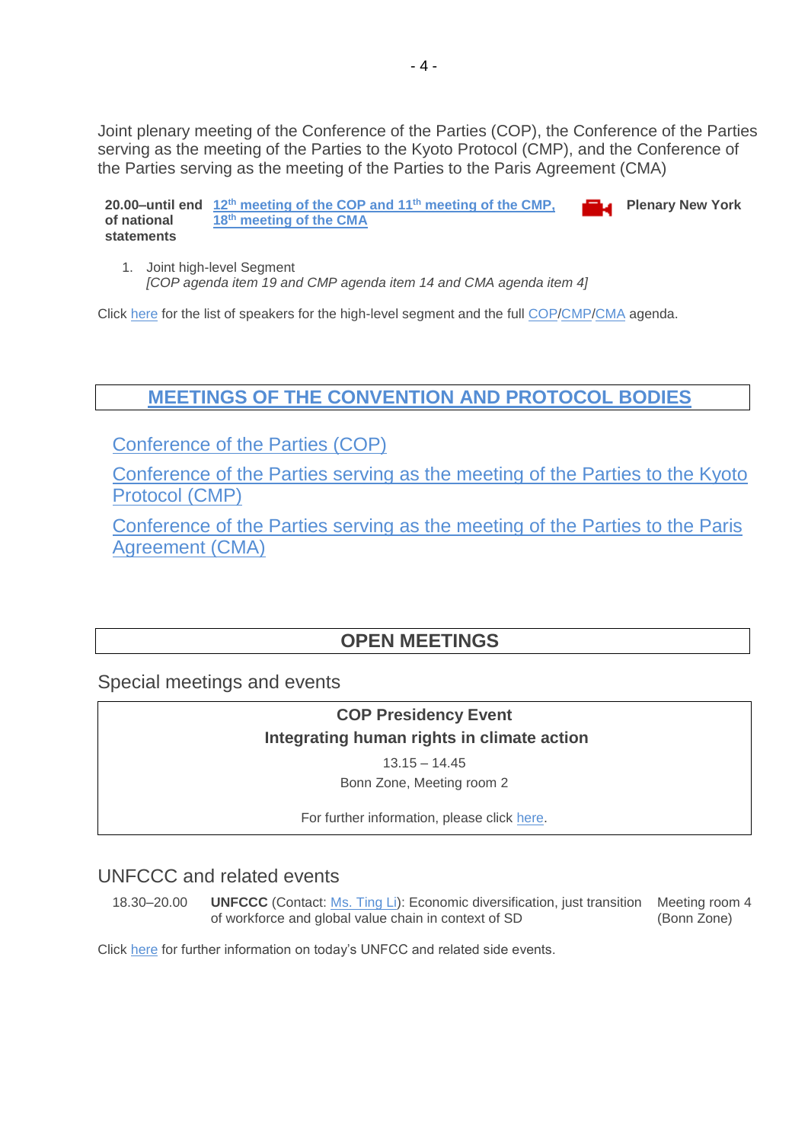<span id="page-3-0"></span>Joint plenary meeting of the Conference of the Parties (COP), the Conference of the Parties serving as the meeting of the Parties to the Kyoto Protocol (CMP), and the Conference of the Parties serving as the meeting of the Parties to the Paris Agreement (CMA)

**20.00–until end 12th [meeting of the COP and](http://unfccc.cloud.streamworld.de/) 11th meeting of the CMP, of national statements 18 th meeting of the CMA Plenary New York**

1. Joint high-level Segment *[COP agenda item 19 and CMP agenda item 14 and CMA agenda item 4]*

Click [here](https://cop23.unfccc.int/cop23/high-level-segment) for the list of speakers for the high-level segment and the full [COP/](http://unfccc.int/meetings/bonn_nov_2017/session/10376/php/view/documents.php#c)[CMP](http://unfccc.int/meetings/bonn_nov_2017/session/10377/php/view/documents.php#c)[/CMA](http://unfccc.int/meetings/bonn_nov_2017/session/10378/php/view/documents.php#c) agenda.

# **[MEETINGS OF THE CONVENTION AND PROTOCOL BODIES](https://grandreserva.unfccc.int/grandreserva/public/schedule?time=2017%2F11%2F16&conference_id=70&meeting_type=&body=3%2C4%2C5%2C6%2C7%2C8%2C9%2C10&webcast=0)**

[Conference of the Parties \(COP\)](https://grandreserva.unfccc.int/grandreserva/public/schedule?time=2017%2F11%2F16&conference_id=70&meeting_type=&body=4&webcast=0)

[Conference of the Parties serving as the meeting of the Parties to the Kyoto](https://grandreserva.unfccc.int/grandreserva/public/schedule?time=2017%2F11%2F16&conference_id=70&meeting_type=&body=3&webcast=0)  [Protocol \(CMP\)](https://grandreserva.unfccc.int/grandreserva/public/schedule?time=2017%2F11%2F16&conference_id=70&meeting_type=&body=3&webcast=0)

[Conference of the Parties serving as the meeting of the Parties to the Paris](https://grandreserva.unfccc.int/grandreserva/public/schedule?time=2017%2F11%2F16&conference_id=70&meeting_type=&body=10&webcast=0)  [Agreement \(CMA\)](https://grandreserva.unfccc.int/grandreserva/public/schedule?time=2017%2F11%2F16&conference_id=70&meeting_type=&body=10&webcast=0)

# **OPEN MEETINGS**

<span id="page-3-2"></span><span id="page-3-1"></span>Special meetings and events

**COP Presidency Event Integrating human rights in climate action** 

 $13.15 - 14.45$ 

Bonn Zone, Meeting room 2

For further information, please click [here.](https://cop23.unfccc.int/sites/default/files/resource/CNPresidencyEventHumanRights_4.pdf)

# UNFCCC and related events

18.30–20.00 **UNFCCC** (Contact: [Ms. Ting Li\)](mailto:tli@unfccc.int): Economic diversification, just transition Meeting room 4 of workforce and global value chain in context of SD (Bonn Zone)

Click [here](https://seors.unfccc.int/seors/reports/events_list.html?session_id=COP23) for further information on today's UNFCC and related side events.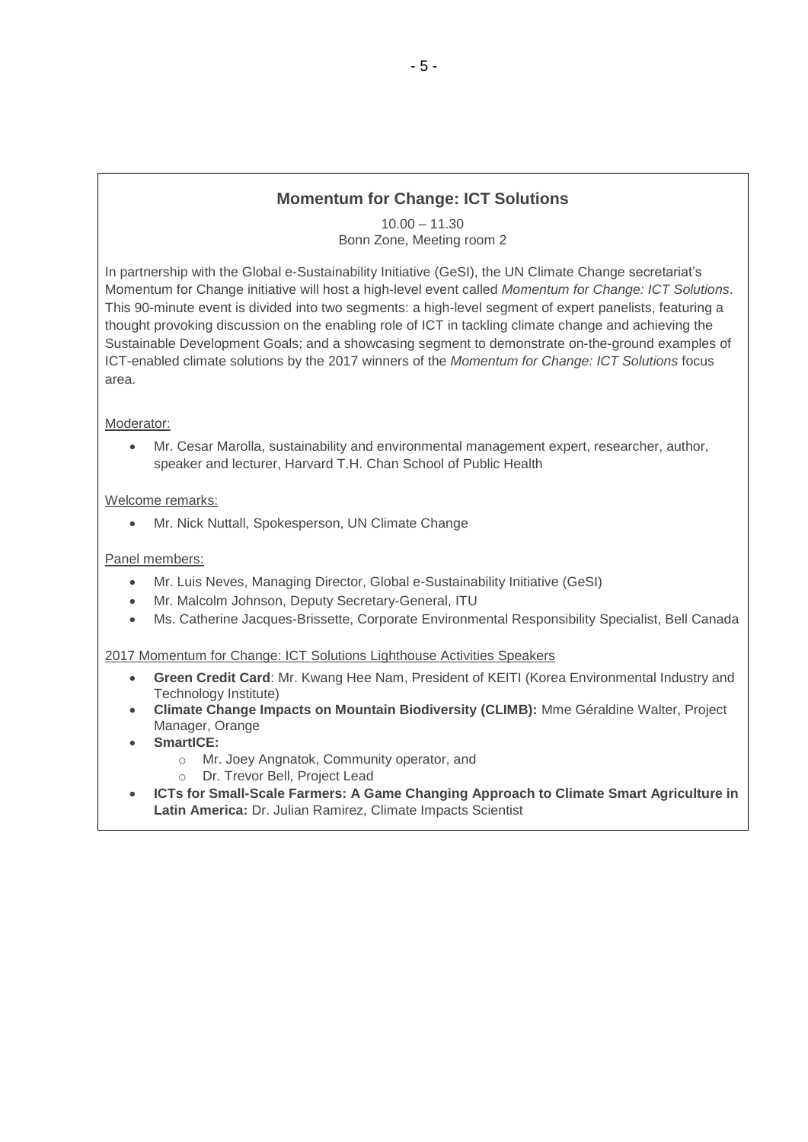# **Momentum for Change: ICT Solutions**

10.00 – 11.30 Bonn Zone, Meeting room 2

In partnership with the Global e-Sustainability Initiative (GeSI), the UN Climate Change secretariat's Momentum for Change initiative will host a high-level event called *Momentum for Change: ICT Solutions*. This 90-minute event is divided into two segments: a high-level segment of expert panelists, featuring a thought provoking discussion on the enabling role of ICT in tackling climate change and achieving the Sustainable Development Goals; and a showcasing segment to demonstrate on-the-ground examples of ICT-enabled climate solutions by the 2017 winners of the *Momentum for Change: ICT Solutions* focus area.

#### Moderator:

• Mr. Cesar Marolla, sustainability and environmental management expert, researcher, author, speaker and lecturer, Harvard T.H. Chan School of Public Health

#### Welcome remarks:

• Mr. Nick Nuttall, Spokesperson, UN Climate Change

#### Panel members:

- Mr. Luis Neves, Managing Director, Global e-Sustainability Initiative (GeSI)
- Mr. Malcolm Johnson, Deputy Secretary-General, ITU
- Ms. Catherine Jacques-Brissette, Corporate Environmental Responsibility Specialist, Bell Canada

#### 2017 Momentum for Change: ICT Solutions Lighthouse Activities Speakers

- **Green Credit Card**: Mr. Kwang Hee Nam, President of KEITI (Korea Environmental Industry and Technology Institute)
- **Climate Change Impacts on Mountain Biodiversity (CLIMB):** Mme Géraldine Walter, Project Manager, Orange
- **SmartICE:** 
	- o Mr. Joey Angnatok, Community operator, and
	- o Dr. Trevor Bell, Project Lead
- **ICTs for Small-Scale Farmers: A Game Changing Approach to Climate Smart Agriculture in Latin America:** Dr. Julian Ramirez, Climate Impacts Scientist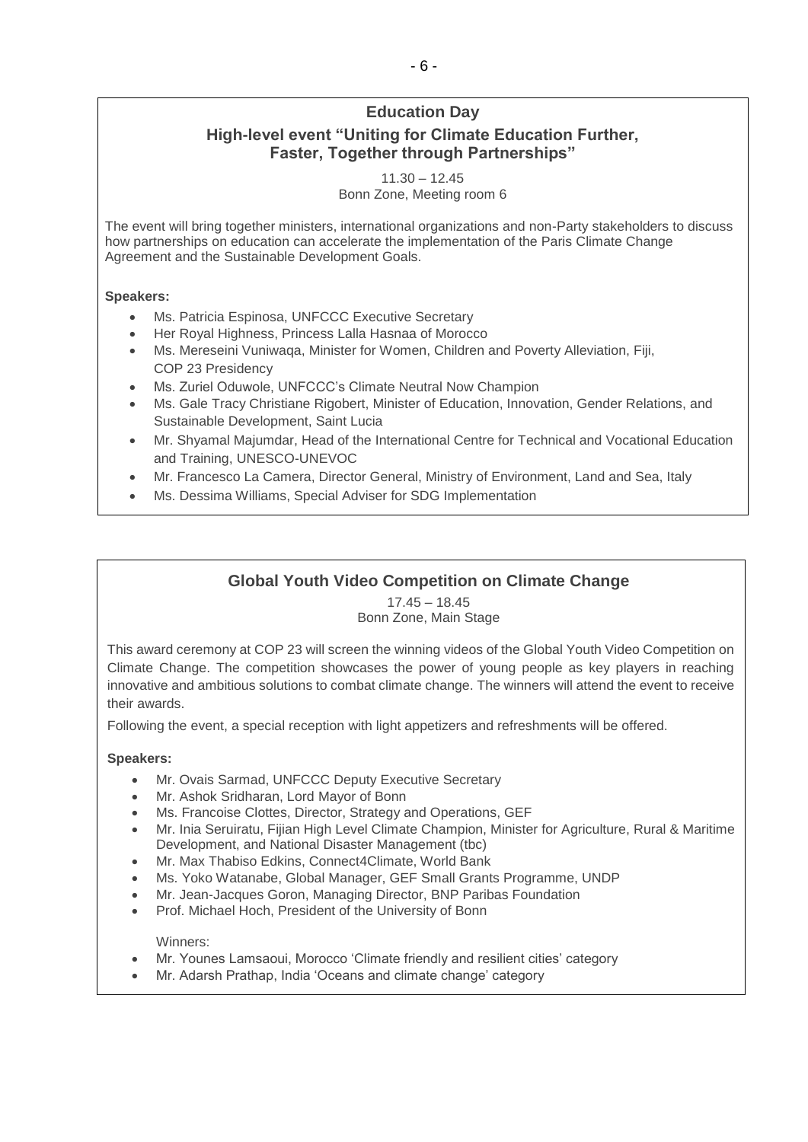# **Education Day High-level event "Uniting for Climate Education Further, Faster, Together through Partnerships"**

11.30 – 12.45

Bonn Zone, Meeting room 6

The event will bring together ministers, international organizations and non-Party stakeholders to discuss how partnerships on education can accelerate the implementation of the Paris Climate Change Agreement and the Sustainable Development Goals.

#### **Speakers:**

- Ms. Patricia Espinosa, UNFCCC Executive Secretary
- Her Royal Highness, Princess Lalla Hasnaa of Morocco
- Ms. Mereseini Vuniwaqa, Minister for Women, Children and Poverty Alleviation, Fiji, COP 23 Presidency
- Ms. Zuriel Oduwole, UNFCCC's Climate Neutral Now Champion
- Ms. Gale Tracy Christiane Rigobert, Minister of Education, Innovation, Gender Relations, and Sustainable Development, Saint Lucia
- Mr. Shyamal Majumdar, Head of the International Centre for Technical and Vocational Education and Training, UNESCO-UNEVOC
- Mr. Francesco La Camera, Director General, Ministry of Environment, Land and Sea, Italy
- Ms. Dessima Williams, Special Adviser for SDG Implementation

## **Global Youth Video Competition on Climate Change**

17.45 – 18.45 Bonn Zone, Main Stage

This award ceremony at COP 23 will screen the winning videos of the Global Youth Video Competition on Climate Change. The competition showcases the power of young people as key players in reaching innovative and ambitious solutions to combat climate change. The winners will attend the event to receive their awards.

Following the event, a special reception with light appetizers and refreshments will be offered.

#### **Speakers:**

- Mr. Ovais Sarmad, UNFCCC Deputy Executive Secretary
- Mr. Ashok Sridharan, Lord Mayor of Bonn
- Ms. Francoise Clottes, Director, Strategy and Operations, GEF
- Mr. Inia Seruiratu, Fijian High Level Climate Champion, Minister for Agriculture, Rural & Maritime Development, and National Disaster Management (tbc)
- Mr. Max Thabiso Edkins, Connect4Climate, World Bank
- Ms. Yoko Watanabe, Global Manager, GEF Small Grants Programme, UNDP
- Mr. Jean-Jacques Goron, Managing Director, BNP Paribas Foundation
- Prof. Michael Hoch, President of the University of Bonn

Winners:

- Mr. Younes Lamsaoui, Morocco 'Climate friendly and resilient cities' category
- Mr. Adarsh Prathap, India 'Oceans and climate change' category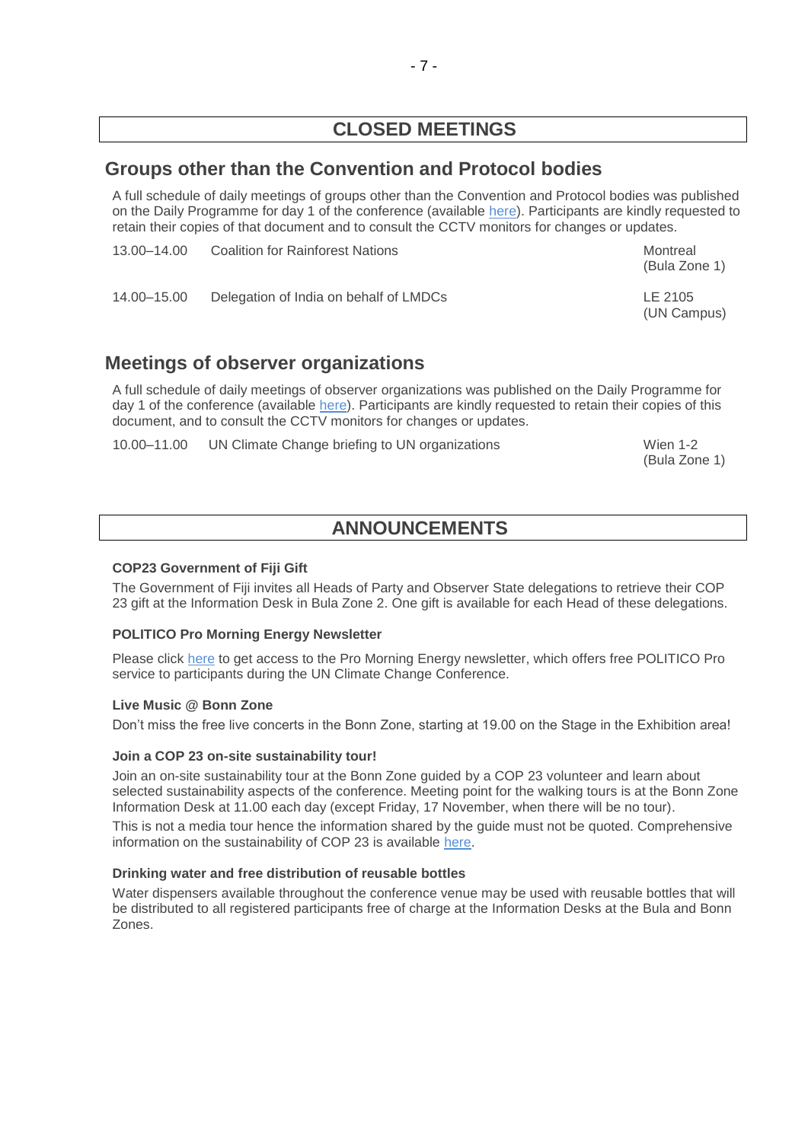# **CLOSED MEETINGS**

# <span id="page-6-0"></span>**Groups other than the Convention and Protocol bodies**

A full schedule of daily meetings of groups other than the Convention and Protocol bodies was published on the Daily Programme for day 1 of the conference (available [here\)](http://unfccc.int/resource/docs/2017/cop23/OD/od01.pdf). Participants are kindly requested to retain their copies of that document and to consult the CCTV monitors for changes or updates.

| 13.00–14.00 | Coalition for Rainforest Nations       | Montreal<br>(Bula Zone 1) |
|-------------|----------------------------------------|---------------------------|
| 14.00–15.00 | Delegation of India on behalf of LMDCs | LE 2105<br>(UN Campus)    |

# **Meetings of observer organizations**

A full schedule of daily meetings of observer organizations was published on the Daily Programme for day 1 of the conference (available [here\)](http://unfccc.int/resource/docs/2017/cop23/OD/od01.pdf). Participants are kindly requested to retain their copies of this document, and to consult the CCTV monitors for changes or updates.

<span id="page-6-1"></span>10.00–11.00 UN Climate Change briefing to UN organizations Wien 1-2

(Bula Zone 1)

# **ANNOUNCEMENTS**

#### **COP23 Government of Fiji Gift**

The Government of Fiji invites all Heads of Party and Observer State delegations to retrieve their COP 23 gift at the Information Desk in Bula Zone 2. One gift is available for each Head of these delegations.

#### **POLITICO Pro Morning Energy Newsletter**

Please click [here](https://www.politico.eu/article/morning-ee-cop23-thursday) to get access to the Pro Morning Energy newsletter, which offers free POLITICO Pro service to participants during the UN Climate Change Conference.

#### **Live Music @ Bonn Zone**

Don't miss the free live concerts in the Bonn Zone, starting at 19.00 on the Stage in the Exhibition area!

#### **Join a COP 23 on-site sustainability tour!**

Join an on-site sustainability tour at the Bonn Zone guided by a COP 23 volunteer and learn about selected sustainability aspects of the conference. Meeting point for the walking tours is at the Bonn Zone Information Desk at 11.00 each day (except Friday, 17 November, when there will be no tour).

This is not a media tour hence the information shared by the guide must not be quoted. Comprehensive information on the sustainability of COP 23 is available [here.](https://cop23.unfccc.int/cop-23/sustainable-conference)

#### **Drinking water and free distribution of reusable bottles**

Water dispensers available throughout the conference venue may be used with reusable bottles that will be distributed to all registered participants free of charge at the Information Desks at the Bula and Bonn Zones.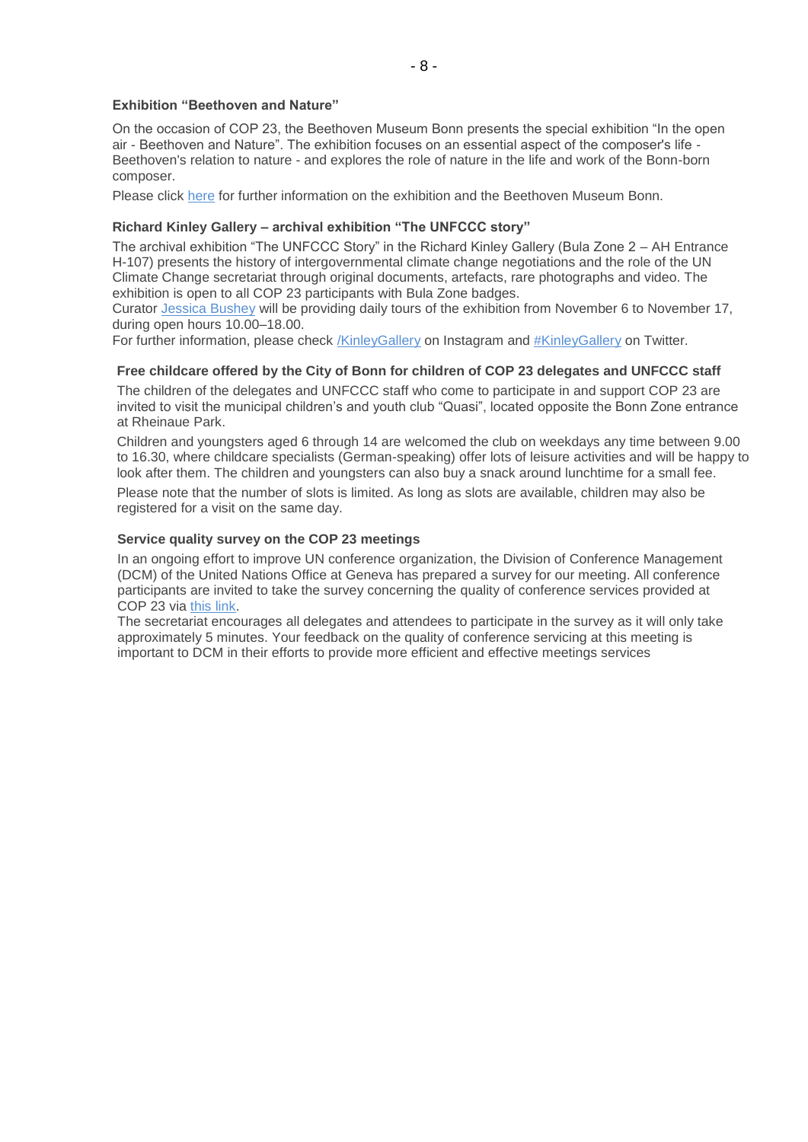#### **Exhibition "Beethoven and Nature"**

On the occasion of COP 23, the Beethoven Museum Bonn presents the special exhibition "In the open air - Beethoven and Nature". The exhibition focuses on an essential aspect of the composer's life - Beethoven's relation to nature - and explores the role of nature in the life and work of the Bonn-born composer.

Please click [here](https://www.beethoven-haus-bonn.de/page/Visit#temporary_exhibitions) for further information on the exhibition and the Beethoven Museum Bonn.

#### **Richard Kinley Gallery – archival exhibition "The UNFCCC story"**

The archival exhibition "The UNFCCC Story" in the Richard Kinley Gallery (Bula Zone 2 – AH Entrance H-107) presents the history of intergovernmental climate change negotiations and the role of the UN Climate Change secretariat through original documents, artefacts, rare photographs and video. The exhibition is open to all COP 23 participants with Bula Zone badges.

Curator [Jessica Bushey](mailto:jbushey@unfccc.int) will be providing daily tours of the exhibition from November 6 to November 17, during open hours 10.00–18.00.

For further information, please check [/KinleyGallery](https://www.instagram.com/KinleyGallery/) on Instagram and [#KinleyGallery](https://twitter.com/hashtag/KinleyGallery?src=hash) on Twitter.

#### **Free childcare offered by the City of Bonn for children of COP 23 delegates and UNFCCC staff**

The children of the delegates and UNFCCC staff who come to participate in and support COP 23 are invited to visit the municipal children's and youth club "Quasi", located opposite the Bonn Zone entrance at Rheinaue Park.

Children and youngsters aged 6 through 14 are welcomed the club on weekdays any time between 9.00 to 16.30, where childcare specialists (German-speaking) offer lots of leisure activities and will be happy to look after them. The children and youngsters can also buy a snack around lunchtime for a small fee.

Please note that the number of slots is limited. As long as slots are available, children may also be registered for a visit on the same day.

#### **Service quality survey on the COP 23 meetings**

In an ongoing effort to improve UN conference organization, the Division of Conference Management (DCM) of the United Nations Office at Geneva has prepared a survey for our meeting. All conference participants are invited to take the survey concerning the quality of conference services provided at COP 23 via [this link.](http://conf.unog.ch/dcmsurvey)

The secretariat encourages all delegates and attendees to participate in the survey as it will only take approximately 5 minutes. Your feedback on the quality of conference servicing at this meeting is important to DCM in their efforts to provide more efficient and effective meetings services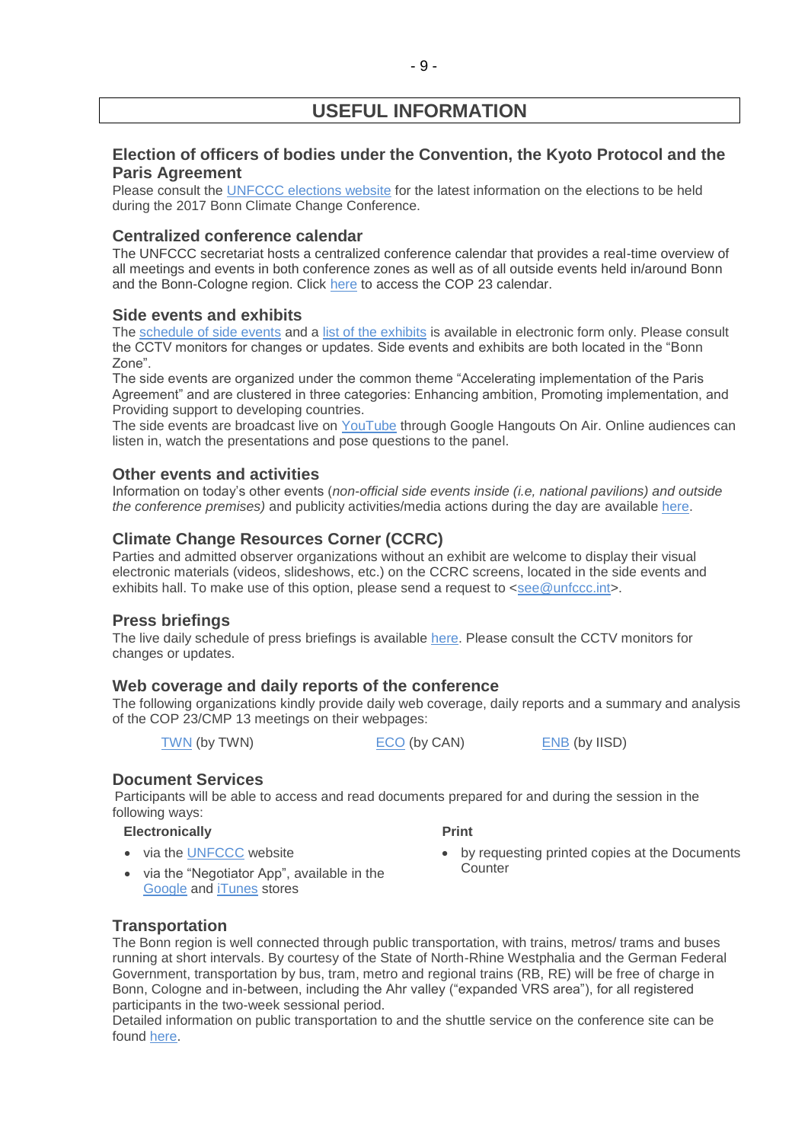# **USEFUL INFORMATION**

### **Election of officers of bodies under the Convention, the Kyoto Protocol and the Paris Agreement**

Please consult the [UNFCCC elections website](http://unfccc.int/6558.php) for the latest information on the elections to be held during the 2017 Bonn Climate Change Conference.

#### **Centralized conference calendar**

The UNFCCC secretariat hosts a centralized conference calendar that provides a real-time overview of all meetings and events in both conference zones as well as of all outside events held in/around Bonn and the Bonn-Cologne region. Click [here](https://cop23.unfccc.int/calendar) to access the COP 23 calendar.

#### **Side events and exhibits**

The [schedule of side events](https://seors.unfccc.int/seors/reports/events_list.html?session_id=COP23) and a [list of the exhibits](https://seors.unfccc.int/seors/reports/exhibits_list.html?session_id=COP23) is available in electronic form only. Please consult the CCTV monitors for changes or updates. Side events and exhibits are both located in the "Bonn Zone".

The side events are organized under the common theme "Accelerating implementation of the Paris Agreement" and are clustered in three categories: Enhancing ambition, Promoting implementation, and Providing support to developing countries.

The side events are broadcast live on [YouTube](https://www.youtube.com/channel/UCSbUPgmmKUTzRmspKM9DpuQ?view_as=subscriber) through Google Hangouts On Air. Online audiences can listen in, watch the presentations and pose questions to the panel.

#### **Other events and activities**

Information on today's other events (*non-official side events inside (i.e, national pavilions) and outside the conference premises)* and publicity activities/media actions during the day are available [here.](https://seors.unfccc.int/seors/reports/events_list.html?session_id=CEvents)

### **Climate Change Resources Corner (CCRC)**

Parties and admitted observer organizations without an exhibit are welcome to display their visual electronic materials (videos, slideshows, etc.) on the CCRC screens, located in the side events and exhibits hall. To make use of this option, please send a request to [<see@unfccc.int>](mailto:see@unfccc.int).

#### **Press briefings**

The live daily schedule of press briefings is available [here.](https://grandreserva.unfccc.int/grandreserva/public/schedule?time=2017%2F11%2F16&conference_id=70&meeting_type=145&body=&webcast=0) Please consult the CCTV monitors for changes or updates.

#### **Web coverage and daily reports of the conference**

The following organizations kindly provide daily web coverage, daily reports and a summary and analysis of the COP 23/CMP 13 meetings on their webpages:

[TWN](https://twnetwork.org/meeting/bonn-climate-change-conference-nov-2017) (by TWN) [ECO](http://www.climatenetwork.org/event/cop-23) (by CAN) [ENB](http://enb.iisd.org/climate/cop23/) (by IISD)

### **Document Services**

Participants will be able to access and read documents prepared for and during the session in the following ways:

#### **Electronically**

• via the [UNFCCC](http://unfccc.int/meetings/bonn_nov_2017/meeting/10084/php/view/documents.php#c) website

- **Print**
- by requesting printed copies at the Documents **Counter**
- via the "Negotiator App", available in the [Google](https://play.google.com/store/apps/details?id=unfccc.negotiator) and [iTunes](https://itunes.apple.com/app/negotiator/id568085923?ls=1&mt=8) stores

#### **Transportation**

The Bonn region is well connected through public transportation, with trains, metros/ trams and buses running at short intervals. By courtesy of the State of North-Rhine Westphalia and the German Federal Government, transportation by bus, tram, metro and regional trains (RB, RE) will be free of charge in Bonn, Cologne and in-between, including the Ahr valley ("expanded VRS area"), for all registered participants in the two-week sessional period.

Detailed information on public transportation to and the shuttle service on the conference site can be found [here.](https://cop23.unfccc.int/cop23/accommodation-and-transport)